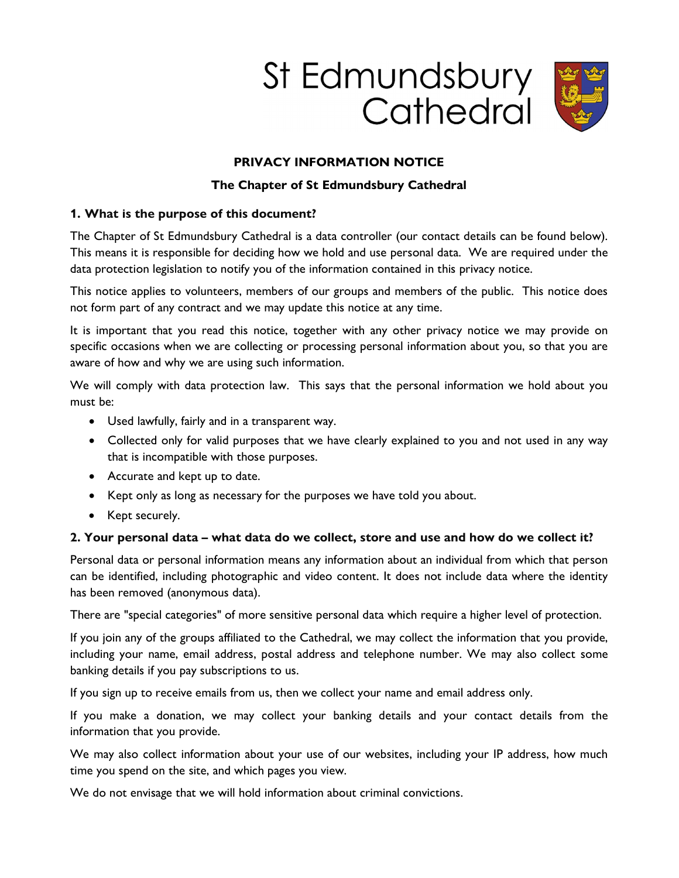



# PRIVACY INFORMATION NOTICE

## The Chapter of St Edmundsbury Cathedral

## 1. What is the purpose of this document?

The Chapter of St Edmundsbury Cathedral is a data controller (our contact details can be found below). This means it is responsible for deciding how we hold and use personal data. We are required under the data protection legislation to notify you of the information contained in this privacy notice.

This notice applies to volunteers, members of our groups and members of the public. This notice does not form part of any contract and we may update this notice at any time.

It is important that you read this notice, together with any other privacy notice we may provide on specific occasions when we are collecting or processing personal information about you, so that you are aware of how and why we are using such information.

We will comply with data protection law. This says that the personal information we hold about you must be:

- Used lawfully, fairly and in a transparent way.
- Collected only for valid purposes that we have clearly explained to you and not used in any way that is incompatible with those purposes.
- Accurate and kept up to date.
- Kept only as long as necessary for the purposes we have told you about.
- Kept securely.

## 2. Your personal data – what data do we collect, store and use and how do we collect it?

Personal data or personal information means any information about an individual from which that person can be identified, including photographic and video content. It does not include data where the identity has been removed (anonymous data).

There are "special categories" of more sensitive personal data which require a higher level of protection.

If you join any of the groups affiliated to the Cathedral, we may collect the information that you provide, including your name, email address, postal address and telephone number. We may also collect some banking details if you pay subscriptions to us.

If you sign up to receive emails from us, then we collect your name and email address only.

If you make a donation, we may collect your banking details and your contact details from the information that you provide.

We may also collect information about your use of our websites, including your IP address, how much time you spend on the site, and which pages you view.

We do not envisage that we will hold information about criminal convictions.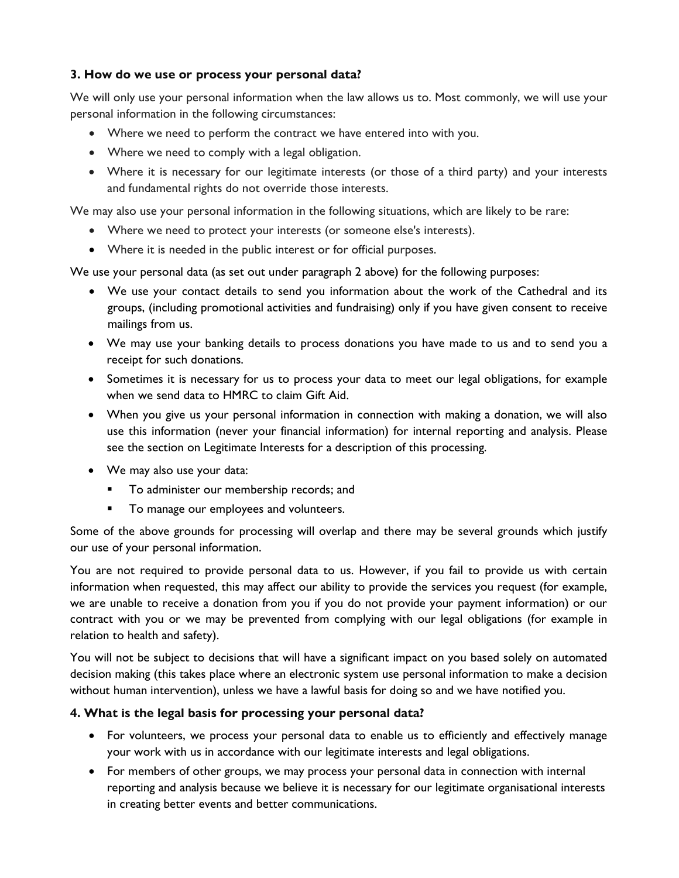# 3. How do we use or process your personal data?

We will only use your personal information when the law allows us to. Most commonly, we will use your personal information in the following circumstances:

- Where we need to perform the contract we have entered into with you.
- Where we need to comply with a legal obligation.
- Where it is necessary for our legitimate interests (or those of a third party) and your interests and fundamental rights do not override those interests.

We may also use your personal information in the following situations, which are likely to be rare:

- Where we need to protect your interests (or someone else's interests).
- Where it is needed in the public interest or for official purposes.

We use your personal data (as set out under paragraph 2 above) for the following purposes:

- We use your contact details to send you information about the work of the Cathedral and its groups, (including promotional activities and fundraising) only if you have given consent to receive mailings from us.
- We may use your banking details to process donations you have made to us and to send you a receipt for such donations.
- Sometimes it is necessary for us to process your data to meet our legal obligations, for example when we send data to HMRC to claim Gift Aid.
- When you give us your personal information in connection with making a donation, we will also use this information (never your financial information) for internal reporting and analysis. Please see the section on Legitimate Interests for a description of this processing.
- We may also use your data:
	- **To administer our membership records; and**
	- **To manage our employees and volunteers.**

Some of the above grounds for processing will overlap and there may be several grounds which justify our use of your personal information.

You are not required to provide personal data to us. However, if you fail to provide us with certain information when requested, this may affect our ability to provide the services you request (for example, we are unable to receive a donation from you if you do not provide your payment information) or our contract with you or we may be prevented from complying with our legal obligations (for example in relation to health and safety).

You will not be subject to decisions that will have a significant impact on you based solely on automated decision making (this takes place where an electronic system use personal information to make a decision without human intervention), unless we have a lawful basis for doing so and we have notified you.

## 4. What is the legal basis for processing your personal data?

- For volunteers, we process your personal data to enable us to efficiently and effectively manage your work with us in accordance with our legitimate interests and legal obligations.
- For members of other groups, we may process your personal data in connection with internal reporting and analysis because we believe it is necessary for our legitimate organisational interests in creating better events and better communications.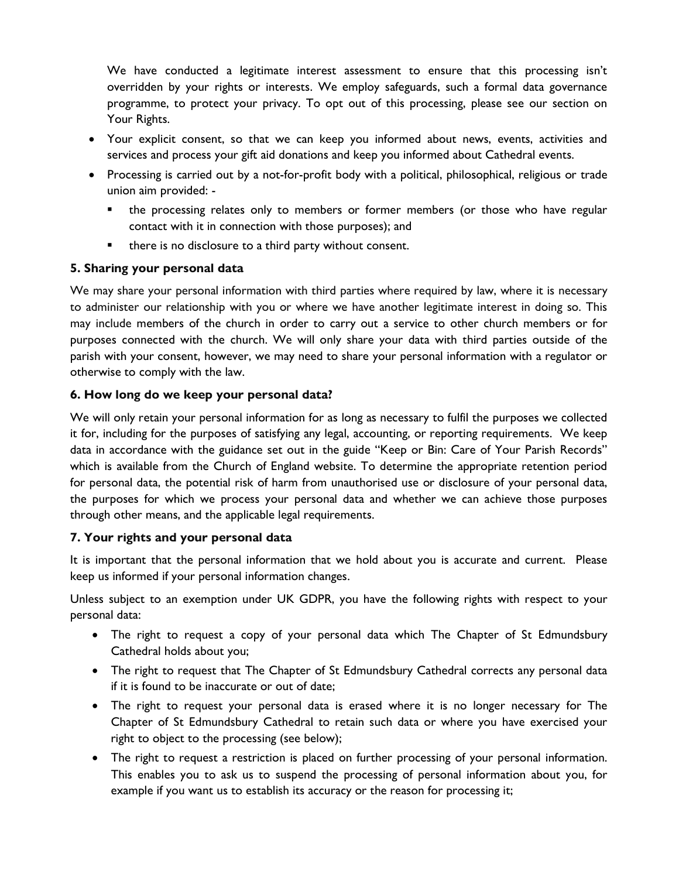We have conducted a legitimate interest assessment to ensure that this processing isn't overridden by your rights or interests. We employ safeguards, such a formal data governance programme, to protect your privacy. To opt out of this processing, please see our section on Your Rights.

- Your explicit consent, so that we can keep you informed about news, events, activities and services and process your gift aid donations and keep you informed about Cathedral events.
- Processing is carried out by a not-for-profit body with a political, philosophical, religious or trade union aim provided:
	- the processing relates only to members or former members (or those who have regular contact with it in connection with those purposes); and
	- there is no disclosure to a third party without consent.

# 5. Sharing your personal data

We may share your personal information with third parties where required by law, where it is necessary to administer our relationship with you or where we have another legitimate interest in doing so. This may include members of the church in order to carry out a service to other church members or for purposes connected with the church. We will only share your data with third parties outside of the parish with your consent, however, we may need to share your personal information with a regulator or otherwise to comply with the law.

# 6. How long do we keep your personal data?

We will only retain your personal information for as long as necessary to fulfil the purposes we collected it for, including for the purposes of satisfying any legal, accounting, or reporting requirements. We keep data in accordance with the guidance set out in the guide "Keep or Bin: Care of Your Parish Records" which is available from the Church of England website. To determine the appropriate retention period for personal data, the potential risk of harm from unauthorised use or disclosure of your personal data, the purposes for which we process your personal data and whether we can achieve those purposes through other means, and the applicable legal requirements.

## 7. Your rights and your personal data

It is important that the personal information that we hold about you is accurate and current. Please keep us informed if your personal information changes.

Unless subject to an exemption under UK GDPR, you have the following rights with respect to your personal data:

- The right to request a copy of your personal data which The Chapter of St Edmundsbury Cathedral holds about you;
- The right to request that The Chapter of St Edmundsbury Cathedral corrects any personal data if it is found to be inaccurate or out of date;
- The right to request your personal data is erased where it is no longer necessary for The Chapter of St Edmundsbury Cathedral to retain such data or where you have exercised your right to object to the processing (see below);
- The right to request a restriction is placed on further processing of your personal information. This enables you to ask us to suspend the processing of personal information about you, for example if you want us to establish its accuracy or the reason for processing it;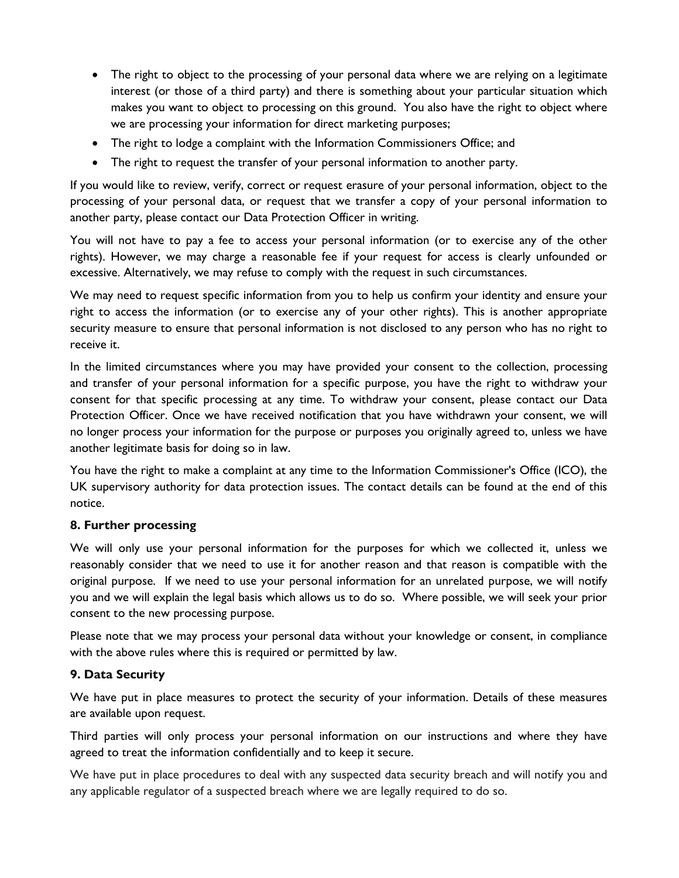- The right to object to the processing of your personal data where we are relying on a legitimate interest (or those of a third party) and there is something about your particular situation which makes you want to object to processing on this ground. You also have the right to object where we are processing your information for direct marketing purposes;
- The right to lodge a complaint with the Information Commissioners Office; and
- The right to request the transfer of your personal information to another party.

If you would like to review, verify, correct or request erasure of your personal information, object to the processing of your personal data, or request that we transfer a copy of your personal information to another party, please contact our Data Protection Officer in writing.

You will not have to pay a fee to access your personal information (or to exercise any of the other rights). However, we may charge a reasonable fee if your request for access is clearly unfounded or excessive. Alternatively, we may refuse to comply with the request in such circumstances.

We may need to request specific information from you to help us confirm your identity and ensure your right to access the information (or to exercise any of your other rights). This is another appropriate security measure to ensure that personal information is not disclosed to any person who has no right to receive it.

In the limited circumstances where you may have provided your consent to the collection, processing and transfer of your personal information for a specific purpose, you have the right to withdraw your consent for that specific processing at any time. To withdraw your consent, please contact our Data Protection Officer. Once we have received notification that you have withdrawn your consent, we will no longer process your information for the purpose or purposes you originally agreed to, unless we have another legitimate basis for doing so in law.

You have the right to make a complaint at any time to the Information Commissioner's Office (ICO), the UK supervisory authority for data protection issues. The contact details can be found at the end of this notice.

## 8. Further processing

We will only use your personal information for the purposes for which we collected it, unless we reasonably consider that we need to use it for another reason and that reason is compatible with the original purpose. If we need to use your personal information for an unrelated purpose, we will notify you and we will explain the legal basis which allows us to do so. Where possible, we will seek your prior consent to the new processing purpose.

Please note that we may process your personal data without your knowledge or consent, in compliance with the above rules where this is required or permitted by law.

## 9. Data Security

We have put in place measures to protect the security of your information. Details of these measures are available upon request.

Third parties will only process your personal information on our instructions and where they have agreed to treat the information confidentially and to keep it secure.

We have put in place procedures to deal with any suspected data security breach and will notify you and any applicable regulator of a suspected breach where we are legally required to do so.